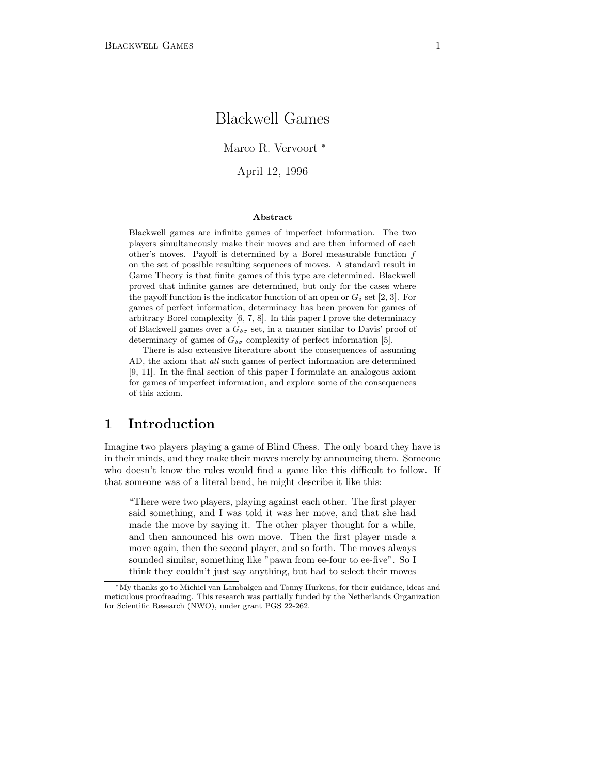# Blackwell Games

Marco R. Vervoort <sup>∗</sup>

April 12, 1996

#### Abstract

Blackwell games are infinite games of imperfect information. The two players simultaneously make their moves and are then informed of each other's moves. Payoff is determined by a Borel measurable function f on the set of possible resulting sequences of moves. A standard result in Game Theory is that finite games of this type are determined. Blackwell proved that infinite games are determined, but only for the cases where the payoff function is the indicator function of an open or  $G_{\delta}$  set [2, 3]. For games of perfect information, determinacy has been proven for games of arbitrary Borel complexity [6, 7, 8]. In this paper I prove the determinacy of Blackwell games over a  $G_{\delta\sigma}$  set, in a manner similar to Davis' proof of determinacy of games of  $G_{\delta\sigma}$  complexity of perfect information [5].

There is also extensive literature about the consequences of assuming AD, the axiom that all such games of perfect information are determined [9, 11]. In the final section of this paper I formulate an analogous axiom for games of imperfect information, and explore some of the consequences of this axiom.

### 1 Introduction

Imagine two players playing a game of Blind Chess. The only board they have is in their minds, and they make their moves merely by announcing them. Someone who doesn't know the rules would find a game like this difficult to follow. If that someone was of a literal bend, he might describe it like this:

"There were two players, playing against each other. The first player said something, and I was told it was her move, and that she had made the move by saying it. The other player thought for a while, and then announced his own move. Then the first player made a move again, then the second player, and so forth. The moves always sounded similar, something like "pawn from ee-four to ee-five". So I think they couldn't just say anything, but had to select their moves

<sup>∗</sup>My thanks go to Michiel van Lambalgen and Tonny Hurkens, for their guidance, ideas and meticulous proofreading. This research was partially funded by the Netherlands Organization for Scientific Research (NWO), under grant PGS 22-262.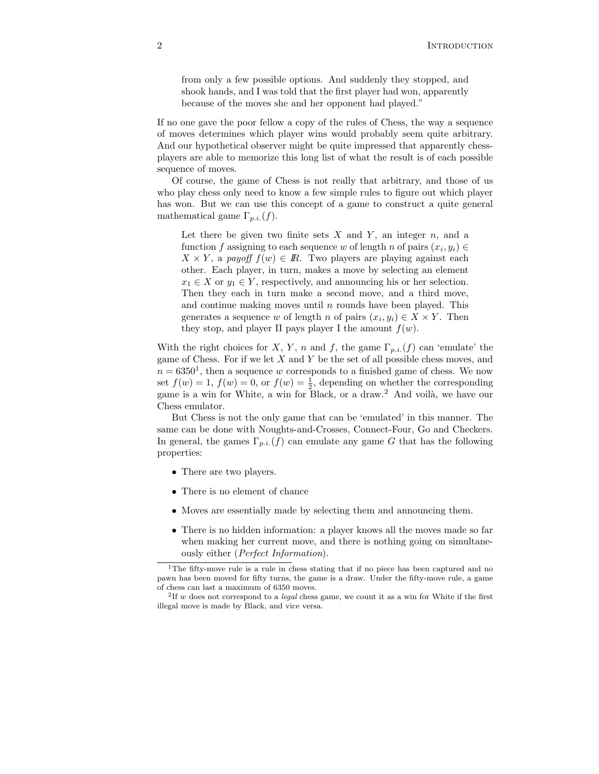from only a few possible options. And suddenly they stopped, and shook hands, and I was told that the first player had won, apparently because of the moves she and her opponent had played."

If no one gave the poor fellow a copy of the rules of Chess, the way a sequence of moves determines which player wins would probably seem quite arbitrary. And our hypothetical observer might be quite impressed that apparently chessplayers are able to memorize this long list of what the result is of each possible sequence of moves.

Of course, the game of Chess is not really that arbitrary, and those of us who play chess only need to know a few simple rules to figure out which player has won. But we can use this concept of a game to construct a quite general mathematical game  $\Gamma_{p.i.}(f)$ .

Let there be given two finite sets  $X$  and  $Y$ , an integer  $n$ , and a function f assigning to each sequence w of length n of pairs  $(x_i, y_i) \in$  $X \times Y$ , a payoff  $f(w) \in \mathbb{R}$ . Two players are playing against each other. Each player, in turn, makes a move by selecting an element  $x_1 \in X$  or  $y_1 \in Y$ , respectively, and announcing his or her selection. Then they each in turn make a second move, and a third move, and continue making moves until  $n$  rounds have been played. This generates a sequence w of length n of pairs  $(x_i, y_i) \in X \times Y$ . Then they stop, and player II pays player I the amount  $f(w)$ .

With the right choices for X, Y, n and f, the game  $\Gamma_{p.i.}(f)$  can 'emulate' the game of Chess. For if we let  $X$  and  $Y$  be the set of all possible chess moves, and  $n = 6350<sup>1</sup>$ , then a sequence w corresponds to a finished game of chess. We now set  $f(w) = 1$ ,  $f(w) = 0$ , or  $f(w) = \frac{1}{2}$ , depending on whether the corresponding game is a win for White, a win for Black, or a draw.<sup>2</sup> And voilà, we have our Chess emulator.

But Chess is not the only game that can be 'emulated' in this manner. The same can be done with Noughts-and-Crosses, Connect-Four, Go and Checkers. In general, the games  $\Gamma_{p.i.}(f)$  can emulate any game G that has the following properties:

- There are two players.
- There is no element of chance
- Moves are essentially made by selecting them and announcing them.
- There is no hidden information: a player knows all the moves made so far when making her current move, and there is nothing going on simultaneously either (Perfect Information).

<sup>&</sup>lt;sup>1</sup>The fifty-move rule is a rule in chess stating that if no piece has been captured and no pawn has been moved for fifty turns, the game is a draw. Under the fifty-move rule, a game of chess can last a maximum of 6350 moves.

<sup>&</sup>lt;sup>2</sup>If w does not correspond to a *legal* chess game, we count it as a win for White if the first illegal move is made by Black, and vice versa.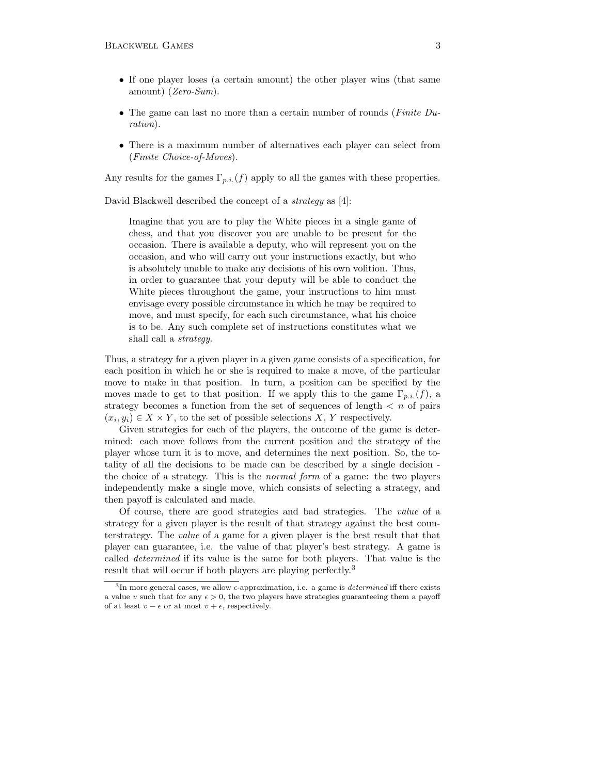- If one player loses (a certain amount) the other player wins (that same amount) (Zero-Sum).
- The game can last no more than a certain number of rounds (*Finite Du*ration).
- There is a maximum number of alternatives each player can select from (Finite Choice-of-Moves).

Any results for the games  $\Gamma_{p,i}(f)$  apply to all the games with these properties.

David Blackwell described the concept of a *strategy* as [4]:

Imagine that you are to play the White pieces in a single game of chess, and that you discover you are unable to be present for the occasion. There is available a deputy, who will represent you on the occasion, and who will carry out your instructions exactly, but who is absolutely unable to make any decisions of his own volition. Thus, in order to guarantee that your deputy will be able to conduct the White pieces throughout the game, your instructions to him must envisage every possible circumstance in which he may be required to move, and must specify, for each such circumstance, what his choice is to be. Any such complete set of instructions constitutes what we shall call a strategy.

Thus, a strategy for a given player in a given game consists of a specification, for each position in which he or she is required to make a move, of the particular move to make in that position. In turn, a position can be specified by the moves made to get to that position. If we apply this to the game  $\Gamma_{p,i}(f)$ , a strategy becomes a function from the set of sequences of length  $\langle n \rangle$  of pairs  $(x_i, y_i) \in X \times Y$ , to the set of possible selections X, Y respectively.

Given strategies for each of the players, the outcome of the game is determined: each move follows from the current position and the strategy of the player whose turn it is to move, and determines the next position. So, the totality of all the decisions to be made can be described by a single decision the choice of a strategy. This is the normal form of a game: the two players independently make a single move, which consists of selecting a strategy, and then payoff is calculated and made.

Of course, there are good strategies and bad strategies. The value of a strategy for a given player is the result of that strategy against the best counterstrategy. The value of a game for a given player is the best result that that player can guarantee, i.e. the value of that player's best strategy. A game is called determined if its value is the same for both players. That value is the result that will occur if both players are playing perfectly.<sup>3</sup>

 ${}^{3}$ In more general cases, we allow  $\epsilon$ -approximation, i.e. a game is *determined* iff there exists a value v such that for any  $\epsilon > 0$ , the two players have strategies guaranteeing them a payoff of at least  $v - \epsilon$  or at most  $v + \epsilon$ , respectively.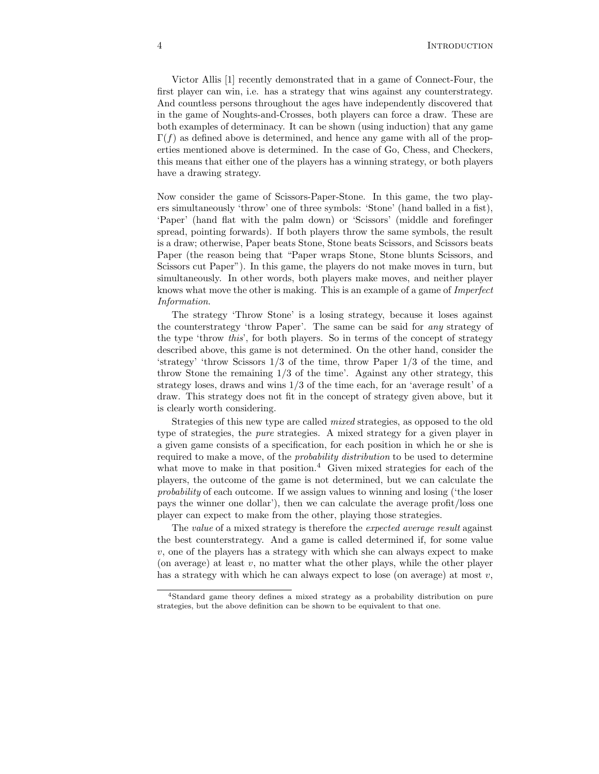4 INTRODUCTION

Victor Allis [1] recently demonstrated that in a game of Connect-Four, the first player can win, i.e. has a strategy that wins against any counterstrategy. And countless persons throughout the ages have independently discovered that in the game of Noughts-and-Crosses, both players can force a draw. These are both examples of determinacy. It can be shown (using induction) that any game  $\Gamma(f)$  as defined above is determined, and hence any game with all of the properties mentioned above is determined. In the case of Go, Chess, and Checkers, this means that either one of the players has a winning strategy, or both players have a drawing strategy.

Now consider the game of Scissors-Paper-Stone. In this game, the two players simultaneously 'throw' one of three symbols: 'Stone' (hand balled in a fist), 'Paper' (hand flat with the palm down) or 'Scissors' (middle and forefinger spread, pointing forwards). If both players throw the same symbols, the result is a draw; otherwise, Paper beats Stone, Stone beats Scissors, and Scissors beats Paper (the reason being that "Paper wraps Stone, Stone blunts Scissors, and Scissors cut Paper"). In this game, the players do not make moves in turn, but simultaneously. In other words, both players make moves, and neither player knows what move the other is making. This is an example of a game of Imperfect Information.

The strategy 'Throw Stone' is a losing strategy, because it loses against the counterstrategy 'throw Paper'. The same can be said for any strategy of the type 'throw this', for both players. So in terms of the concept of strategy described above, this game is not determined. On the other hand, consider the 'strategy' 'throw Scissors 1/3 of the time, throw Paper 1/3 of the time, and throw Stone the remaining 1/3 of the time'. Against any other strategy, this strategy loses, draws and wins 1/3 of the time each, for an 'average result' of a draw. This strategy does not fit in the concept of strategy given above, but it is clearly worth considering.

Strategies of this new type are called mixed strategies, as opposed to the old type of strategies, the pure strategies. A mixed strategy for a given player in a given game consists of a specification, for each position in which he or she is required to make a move, of the probability distribution to be used to determine what move to make in that position.<sup>4</sup> Given mixed strategies for each of the players, the outcome of the game is not determined, but we can calculate the probability of each outcome. If we assign values to winning and losing ('the loser pays the winner one dollar'), then we can calculate the average profit/loss one player can expect to make from the other, playing those strategies.

The value of a mixed strategy is therefore the expected average result against the best counterstrategy. And a game is called determined if, for some value  $v$ , one of the players has a strategy with which she can always expect to make (on average) at least  $v$ , no matter what the other plays, while the other player has a strategy with which he can always expect to lose (on average) at most  $v$ ,

<sup>4</sup>Standard game theory defines a mixed strategy as a probability distribution on pure strategies, but the above definition can be shown to be equivalent to that one.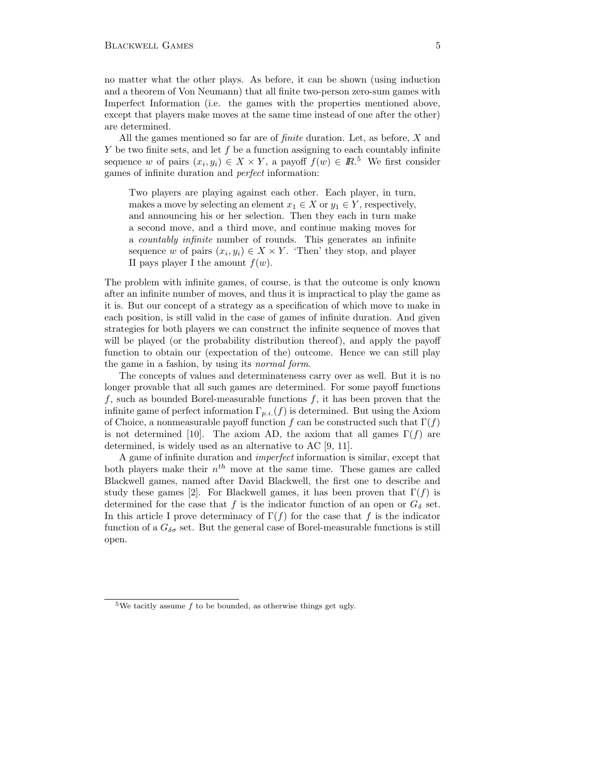no matter what the other plays. As before, it can be shown (using induction and a theorem of Von Neumann) that all finite two-person zero-sum games with Imperfect Information (i.e. the games with the properties mentioned above, except that players make moves at the same time instead of one after the other) are determined.

All the games mentioned so far are of *finite* duration. Let, as before,  $X$  and  $Y$  be two finite sets, and let  $f$  be a function assigning to each countably infinite sequence w of pairs  $(x_i, y_i) \in X \times Y$ , a payoff  $f(w) \in \mathbb{R}^5$ . We first consider games of infinite duration and perfect information:

Two players are playing against each other. Each player, in turn, makes a move by selecting an element  $x_1 \in X$  or  $y_1 \in Y$ , respectively, and announcing his or her selection. Then they each in turn make a second move, and a third move, and continue making moves for a countably infinite number of rounds. This generates an infinite sequence w of pairs  $(x_i, y_i) \in X \times Y$ . 'Then' they stop, and player II pays player I the amount  $f(w)$ .

The problem with infinite games, of course, is that the outcome is only known after an infinite number of moves, and thus it is impractical to play the game as it is. But our concept of a strategy as a specification of which move to make in each position, is still valid in the case of games of infinite duration. And given strategies for both players we can construct the infinite sequence of moves that will be played (or the probability distribution thereof), and apply the payoff function to obtain our (expectation of the) outcome. Hence we can still play the game in a fashion, by using its normal form.

The concepts of values and determinateness carry over as well. But it is no longer provable that all such games are determined. For some payoff functions f, such as bounded Borel-measurable functions  $f$ , it has been proven that the infinite game of perfect information  $\Gamma_{p.i.}(f)$  is determined. But using the Axiom of Choice, a nonmeasurable payoff function f can be constructed such that  $\Gamma(f)$ is not determined [10]. The axiom AD, the axiom that all games  $\Gamma(f)$  are determined, is widely used as an alternative to AC [9, 11].

A game of infinite duration and imperfect information is similar, except that both players make their  $n^{th}$  move at the same time. These games are called Blackwell games, named after David Blackwell, the first one to describe and study these games [2]. For Blackwell games, it has been proven that  $\Gamma(f)$  is determined for the case that f is the indicator function of an open or  $G_{\delta}$  set. In this article I prove determinacy of  $\Gamma(f)$  for the case that f is the indicator function of a  $G_{\delta\sigma}$  set. But the general case of Borel-measurable functions is still open.

<sup>&</sup>lt;sup>5</sup>We tacitly assume  $f$  to be bounded, as otherwise things get ugly.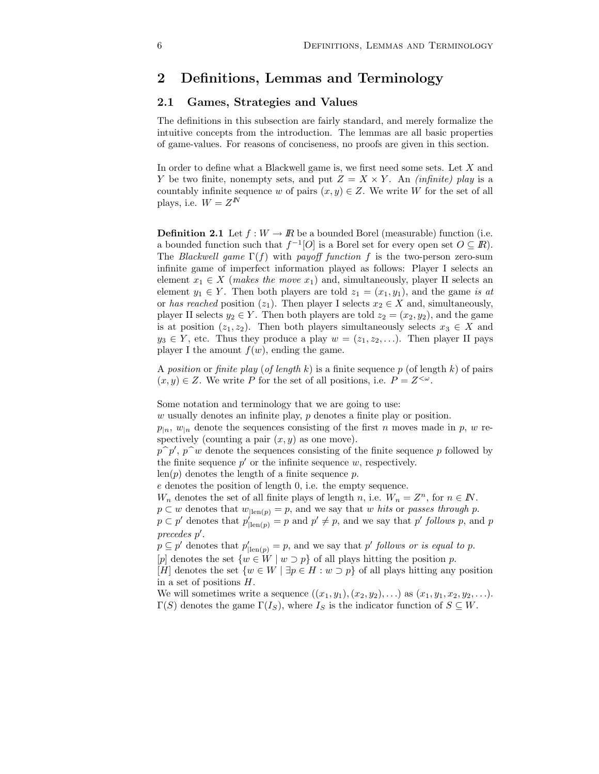### 2 Definitions, Lemmas and Terminology

### 2.1 Games, Strategies and Values

The definitions in this subsection are fairly standard, and merely formalize the intuitive concepts from the introduction. The lemmas are all basic properties of game-values. For reasons of conciseness, no proofs are given in this section.

In order to define what a Blackwell game is, we first need some sets. Let X and Y be two finite, nonempty sets, and put  $Z = X \times Y$ . An *(infinite) play* is a countably infinite sequence w of pairs  $(x, y) \in Z$ . We write W for the set of all plays, i.e.  $W = Z^N$ 

**Definition 2.1** Let  $f : W \to \mathbb{R}$  be a bounded Borel (measurable) function (i.e. a bounded function such that  $f^{-1}[O]$  is a Borel set for every open set  $O \subseteq \mathbb{R}$ ). The Blackwell game  $\Gamma(f)$  with payoff function f is the two-person zero-sum infinite game of imperfect information played as follows: Player I selects an element  $x_1 \in X$  (*makes the move*  $x_1$ ) and, simultaneously, player II selects an element  $y_1 \in Y$ . Then both players are told  $z_1 = (x_1, y_1)$ , and the game is at or has reached position  $(z_1)$ . Then player I selects  $x_2 \in X$  and, simultaneously, player II selects  $y_2 \in Y$ . Then both players are told  $z_2 = (x_2, y_2)$ , and the game is at position  $(z_1, z_2)$ . Then both players simultaneously selects  $x_3 \in X$  and  $y_3 \in Y$ , etc. Thus they produce a play  $w = (z_1, z_2, \ldots)$ . Then player II pays player I the amount  $f(w)$ , ending the game.

A position or finite play (of length k) is a finite sequence p (of length k) of pairs  $(x, y) \in Z$ . We write P for the set of all positions, i.e.  $P = Z^{<\omega}$ .

Some notation and terminology that we are going to use:

w usually denotes an infinite play, p denotes a finite play or position.

 $p_{n}$ ,  $w_{n}$  denote the sequences consisting of the first n moves made in p, w respectively (counting a pair  $(x, y)$  as one move).

 $p^p$ ,  $p^w$  denote the sequences consisting of the finite sequence p followed by the finite sequence  $p'$  or the infinite sequence  $w$ , respectively.

 $len(p)$  denotes the length of a finite sequence p.

e denotes the position of length 0, i.e. the empty sequence.

 $W_n$  denotes the set of all finite plays of length n, i.e.  $W_n = Z^n$ , for  $n \in \mathbb{N}$ .

 $p \subset w$  denotes that  $w_{\text{len}(p)} = p$ , and we say that w hits or passes through p.

 $p \subset p'$  denotes that  $p'_{\text{len}(p)} = p$  and  $p' \neq p$ , and we say that p' follows p, and p  $precedes p'.$ 

 $p \subseteq p'$  denotes that  $p'_{\text{len}(p)} = p$ , and we say that p' follows or is equal to p.

[p] denotes the set  $\{w \in W \mid w \supset p\}$  of all plays hitting the position p.

[H] denotes the set  $\{w \in W \mid \exists p \in H : w \supset p\}$  of all plays hitting any position in a set of positions H.

We will sometimes write a sequence  $((x_1, y_1), (x_2, y_2), \ldots)$  as  $(x_1, y_1, x_2, y_2, \ldots)$ . Γ(S) denotes the game  $\Gamma(I_S)$ , where  $I_S$  is the indicator function of  $S \subseteq W$ .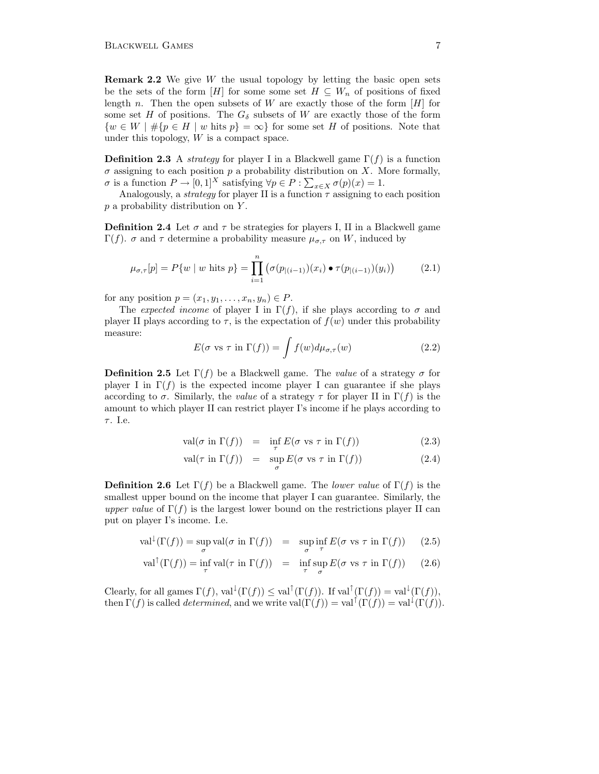**Remark 2.2** We give  $W$  the usual topology by letting the basic open sets be the sets of the form [H] for some some set  $H \subseteq W_n$  of positions of fixed length n. Then the open subsets of W are exactly those of the form  $[H]$  for some set H of positions. The  $G_{\delta}$  subsets of W are exactly those of the form  $\{w \in W \mid \#\{p \in H \mid w \text{ hits } p\} = \infty\}$  for some set H of positions. Note that under this topology,  $W$  is a compact space.

**Definition 2.3** A *strategy* for player I in a Blackwell game  $\Gamma(f)$  is a function  $\sigma$  assigning to each position p a probability distribution on X. More formally,  $\sigma$  is a function  $P \to [0,1]^X$  satisfying  $\forall p \in P : \sum_{x \in X} \sigma(p)(x) = 1$ .

Analogously, a *strategy* for player II is a function  $\tau$  assigning to each position  $p$  a probability distribution on  $Y$ .

**Definition 2.4** Let  $\sigma$  and  $\tau$  be strategies for players I, II in a Blackwell game Γ(f).  $\sigma$  and  $\tau$  determine a probability measure  $\mu_{\sigma,\tau}$  on W, induced by

$$
\mu_{\sigma,\tau}[p] = P\{w \mid w \text{ hits } p\} = \prod_{i=1}^{n} \left(\sigma(p_{|(i-1)})(x_i) \bullet \tau(p_{|(i-1)})(y_i)\right) \tag{2.1}
$$

for any position  $p = (x_1, y_1, \ldots, x_n, y_n) \in P$ .

The expected income of player I in  $\Gamma(f)$ , if she plays according to  $\sigma$  and player II plays according to  $\tau$ , is the expectation of  $f(w)$  under this probability measure:

$$
E(\sigma \text{ vs } \tau \text{ in } \Gamma(f)) = \int f(w) d\mu_{\sigma,\tau}(w)
$$
 (2.2)

**Definition 2.5** Let  $\Gamma(f)$  be a Blackwell game. The value of a strategy  $\sigma$  for player I in  $\Gamma(f)$  is the expected income player I can guarantee if she plays according to  $\sigma$ . Similarly, the value of a strategy  $\tau$  for player II in  $\Gamma(f)$  is the amount to which player II can restrict player I's income if he plays according to  $\tau$ . I.e.

$$
\text{val}(\sigma \text{ in } \Gamma(f)) = \inf_{\tau} E(\sigma \text{ vs } \tau \text{ in } \Gamma(f)) \tag{2.3}
$$

$$
\text{val}(\tau \text{ in } \Gamma(f)) = \sup_{\sigma} E(\sigma \text{ vs } \tau \text{ in } \Gamma(f)) \tag{2.4}
$$

**Definition 2.6** Let  $\Gamma(f)$  be a Blackwell game. The *lower value* of  $\Gamma(f)$  is the smallest upper bound on the income that player I can guarantee. Similarly, the upper value of  $\Gamma(f)$  is the largest lower bound on the restrictions player II can put on player I's income. I.e.

$$
\text{val}^1(\Gamma(f)) = \sup_{\sigma} \text{val}(\sigma \text{ in } \Gamma(f)) = \sup_{\sigma} \inf_{\tau} E(\sigma \text{ vs } \tau \text{ in } \Gamma(f)) \tag{2.5}
$$

$$
\operatorname{val}^{\uparrow}(\Gamma(f)) = \inf_{\tau} \operatorname{val}(\tau \text{ in } \Gamma(f)) = \inf_{\tau} \sup_{\sigma} E(\sigma \text{ vs } \tau \text{ in } \Gamma(f)) \qquad (2.6)
$$

Clearly, for all games  $\Gamma(f)$ ,  $\mathrm{val}^{\downarrow}(\Gamma(f)) \leq \mathrm{val}^{\uparrow}(\Gamma(f))$ . If  $\mathrm{val}^{\uparrow}(\Gamma(f)) = \mathrm{val}^{\downarrow}(\Gamma(f))$ , then  $\Gamma(f)$  is called *determined*, and we write  $val(\Gamma(f)) = val^{\dagger}(\Gamma(f)) = val^{\dagger}(\Gamma(f)).$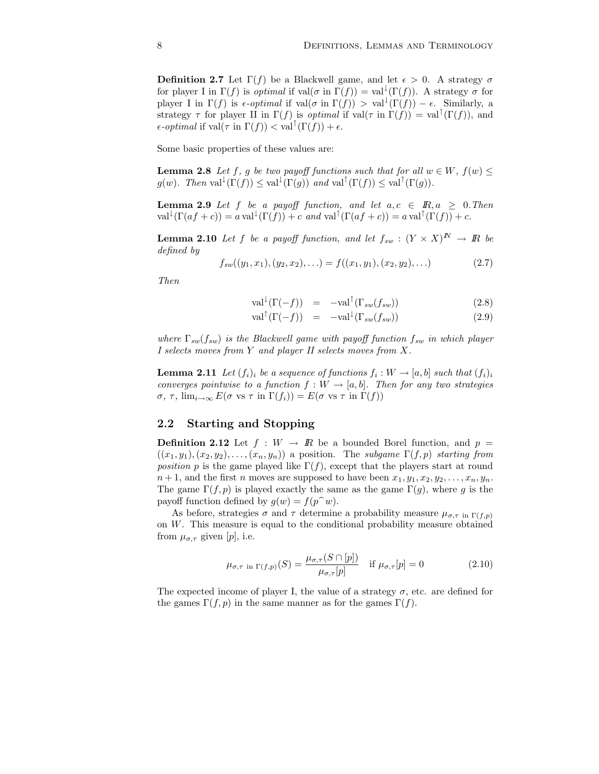**Definition 2.7** Let  $\Gamma(f)$  be a Blackwell game, and let  $\epsilon > 0$ . A strategy  $\sigma$ for player I in  $\Gamma(f)$  is *optimal* if  $val(\sigma$  in  $\Gamma(f)) = val^{\downarrow}(\Gamma(f))$ . A strategy  $\sigma$  for player I in  $\Gamma(f)$  is  $\epsilon$ -*optimal* if  $val(\sigma$  in  $\Gamma(f)) > val^{\downarrow}(\Gamma(f)) - \epsilon$ . Similarly, a strategy  $\tau$  for player II in  $\Gamma(f)$  is *optimal* if  $val(\tau \in \Gamma(f)) = val^{\uparrow}(\Gamma(f)),$  and  $\epsilon$ -optimal if val $(\tau \text{ in } \Gamma(f)) < \text{val}^{\uparrow}(\Gamma(f)) + \epsilon$ .

Some basic properties of these values are:

**Lemma 2.8** Let f, g be two payoff functions such that for all  $w \in W$ ,  $f(w) \leq$  $g(w)$ . Then val<sup> $\downarrow$ </sup>( $\Gamma(f)$ )  $\leq$  val $\downarrow$ ( $\Gamma(g)$ ) and val $\uparrow$ ( $\Gamma(f)$ )  $\leq$  val $\uparrow$ ( $\Gamma(g)$ ).

**Lemma 2.9** Let f be a payoff function, and let  $a, c \in \mathbb{R}, a \geq 0$ . Then  $\text{val}^{\downarrow}(\Gamma(af+c)) = a \text{ val}^{\downarrow}(\Gamma(f)) + c \text{ and } \text{val}^{\uparrow}(\Gamma(af+c)) = a \text{ val}^{\uparrow}(\Gamma(f)) + c.$ 

**Lemma 2.10** Let f be a payoff function, and let  $f_{sw}$  :  $(Y \times X)^N \rightarrow \mathbb{R}$  be defined by

$$
f_{sw}((y_1, x_1), (y_2, x_2), \ldots) = f((x_1, y_1), (x_2, y_2), \ldots)
$$
 (2.7)

Then

$$
\text{val}^{\downarrow}(\Gamma(-f)) = -\text{val}^{\uparrow}(\Gamma_{sw}(f_{sw})) \tag{2.8}
$$

$$
\operatorname{val}^{\uparrow}(\Gamma(-f)) = -\operatorname{val}^{\downarrow}(\Gamma_{sw}(f_{sw})) \tag{2.9}
$$

where  $\Gamma_{sw}(f_{sw})$  is the Blackwell game with payoff function  $f_{sw}$  in which player I selects moves from Y and player II selects moves from X.

**Lemma 2.11** Let  $(f_i)_i$  be a sequence of functions  $f_i: W \to [a, b]$  such that  $(f_i)_i$ converges pointwise to a function  $f : W \to [a, b]$ . Then for any two strategies  $\sigma$ ,  $\tau$ ,  $\lim_{i\to\infty} E(\sigma \text{ vs } \tau \text{ in } \Gamma(f_i)) = E(\sigma \text{ vs } \tau \text{ in } \Gamma(f))$ 

### 2.2 Starting and Stopping

**Definition 2.12** Let  $f : W \to \mathbb{R}$  be a bounded Borel function, and  $p =$  $((x_1,y_1),(x_2,y_2),\ldots,(x_n,y_n))$  a position. The subgame  $\Gamma(f,p)$  starting from position p is the game played like  $\Gamma(f)$ , except that the players start at round  $n+1$ , and the first n moves are supposed to have been  $x_1, y_1, x_2, y_2, \ldots, x_n, y_n$ . The game  $\Gamma(f, p)$  is played exactly the same as the game  $\Gamma(g)$ , where g is the payoff function defined by  $g(w) = f(p^w)$ .

As before, strategies  $\sigma$  and  $\tau$  determine a probability measure  $\mu_{\sigma,\tau}$  in  $\Gamma(f,p)$ on  $W$ . This measure is equal to the conditional probability measure obtained from  $\mu_{\sigma,\tau}$  given [p], i.e.

$$
\mu_{\sigma,\tau \text{ in } \Gamma(f,p)}(S) = \frac{\mu_{\sigma,\tau}(S \cap [p])}{\mu_{\sigma,\tau}[p]} \quad \text{if } \mu_{\sigma,\tau}[p] = 0 \tag{2.10}
$$

The expected income of player I, the value of a strategy  $\sigma$ , etc. are defined for the games  $\Gamma(f, p)$  in the same manner as for the games  $\Gamma(f)$ .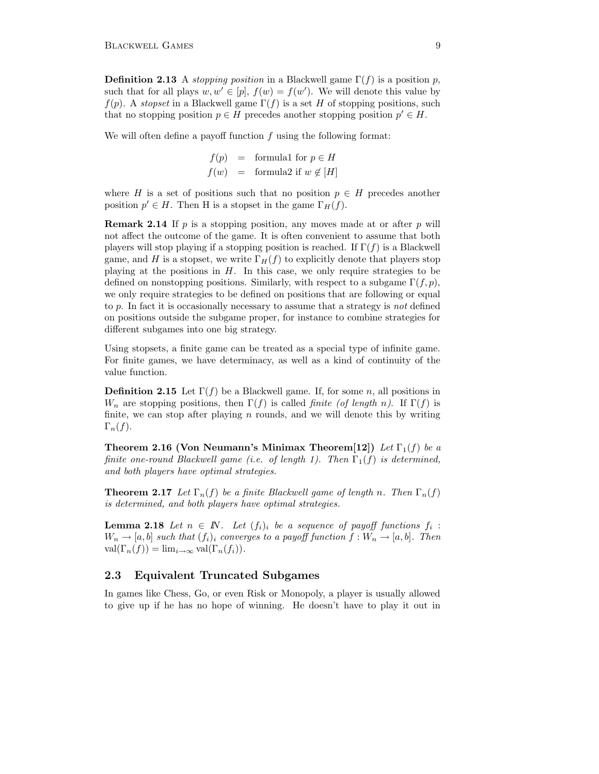**Definition 2.13** A *stopping position* in a Blackwell game  $\Gamma(f)$  is a position p, such that for all plays  $w, w' \in [p]$ ,  $f(w) = f(w')$ . We will denote this value by  $f(p)$ . A stopset in a Blackwell game  $\Gamma(f)$  is a set H of stopping positions, such that no stopping position  $p \in H$  precedes another stopping position  $p' \in H$ .

We will often define a payoff function  $f$  using the following format:

$$
f(p) = formula1 for p \in H
$$
  

$$
f(w) = formula2 if w \notin [H]
$$

where H is a set of positions such that no position  $p \in H$  precedes another position  $p' \in H$ . Then H is a stopset in the game  $\Gamma_H(f)$ .

**Remark 2.14** If  $p$  is a stopping position, any moves made at or after  $p$  will not affect the outcome of the game. It is often convenient to assume that both players will stop playing if a stopping position is reached. If  $\Gamma(f)$  is a Blackwell game, and H is a stopset, we write  $\Gamma_H(f)$  to explicitly denote that players stop playing at the positions in  $H$ . In this case, we only require strategies to be defined on nonstopping positions. Similarly, with respect to a subgame  $\Gamma(f, p)$ , we only require strategies to be defined on positions that are following or equal to p. In fact it is occasionally necessary to assume that a strategy is not defined on positions outside the subgame proper, for instance to combine strategies for different subgames into one big strategy.

Using stopsets, a finite game can be treated as a special type of infinite game. For finite games, we have determinacy, as well as a kind of continuity of the value function.

**Definition 2.15** Let  $\Gamma(f)$  be a Blackwell game. If, for some n, all positions in  $W_n$  are stopping positions, then  $\Gamma(f)$  is called *finite (of length n)*. If  $\Gamma(f)$  is finite, we can stop after playing  $n$  rounds, and we will denote this by writing  $\Gamma_n(f)$ .

Theorem 2.16 (Von Neumann's Minimax Theorem[12]) Let  $\Gamma_1(f)$  be a finite one-round Blackwell game (i.e. of length 1). Then  $\Gamma_1(f)$  is determined, and both players have optimal strategies.

**Theorem 2.17** Let  $\Gamma_n(f)$  be a finite Blackwell game of length n. Then  $\Gamma_n(f)$ is determined, and both players have optimal strategies.

**Lemma 2.18** Let  $n \in \mathbb{N}$ . Let  $(f_i)_i$  be a sequence of payoff functions  $f_i$ :  $W_n \to [a, b]$  such that  $(f_i)_i$  converges to a payoff function  $f : W_n \to [a, b]$ . Then  $val(\Gamma_n(f)) = \lim_{i \to \infty} val(\Gamma_n(f_i)).$ 

#### 2.3 Equivalent Truncated Subgames

In games like Chess, Go, or even Risk or Monopoly, a player is usually allowed to give up if he has no hope of winning. He doesn't have to play it out in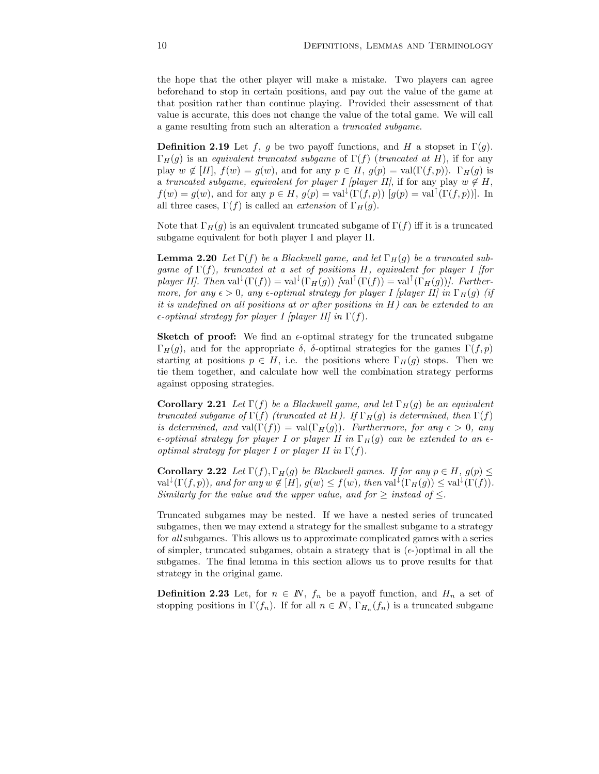the hope that the other player will make a mistake. Two players can agree beforehand to stop in certain positions, and pay out the value of the game at that position rather than continue playing. Provided their assessment of that value is accurate, this does not change the value of the total game. We will call a game resulting from such an alteration a truncated subgame.

**Definition 2.19** Let f, g be two payoff functions, and H a stopset in  $\Gamma(g)$ .  $\Gamma_H(g)$  is an equivalent truncated subgame of  $\Gamma(f)$  (truncated at H), if for any play  $w \notin [H]$ ,  $f(w) = g(w)$ , and for any  $p \in H$ ,  $g(p) = \text{val}(\Gamma(f, p))$ .  $\Gamma_H(g)$  is a truncated subgame, equivalent for player I [player II], if for any play  $w \notin H$ ,  $f(w) = g(w)$ , and for any  $p \in H$ ,  $g(p) = \text{val}^{\downarrow}(\Gamma(f, p))$   $[g(p) = \text{val}^{\uparrow}(\Gamma(f, p))]$ . In all three cases,  $\Gamma(f)$  is called an *extension* of  $\Gamma_H(g)$ .

Note that  $\Gamma_H(g)$  is an equivalent truncated subgame of  $\Gamma(f)$  iff it is a truncated subgame equivalent for both player I and player II.

**Lemma 2.20** Let  $\Gamma(f)$  be a Blackwell game, and let  $\Gamma_H(g)$  be a truncated subgame of  $\Gamma(f)$ , truncated at a set of positions H, equivalent for player I [for player II]. Then  $val^{\downarrow}(\Gamma(f)) = val^{\downarrow}(\Gamma_H(g))$  [val<sup>↑</sup> $(\Gamma(f)) = val^{\uparrow}(\Gamma_H(g))$ ]. Furthermore, for any  $\epsilon > 0$ , any  $\epsilon$ -optimal strategy for player I [player II] in  $\Gamma_H(g)$  (if it is undefined on all positions at or after positions in  $H$ ) can be extended to an  $\epsilon$ -optimal strategy for player I [player II] in  $\Gamma(f)$ .

Sketch of proof: We find an  $\epsilon$ -optimal strategy for the truncated subgame  $\Gamma_H(g)$ , and for the appropriate  $\delta$ ,  $\delta$ -optimal strategies for the games  $\Gamma(f, p)$ starting at positions  $p \in H$ , i.e. the positions where  $\Gamma_H(g)$  stops. Then we tie them together, and calculate how well the combination strategy performs against opposing strategies.

Corollary 2.21 Let  $\Gamma(f)$  be a Blackwell game, and let  $\Gamma_H(g)$  be an equivalent truncated subgame of  $\Gamma(f)$  (truncated at H). If  $\Gamma_H(g)$  is determined, then  $\Gamma(f)$ is determined, and val $(\Gamma(f)) = \text{val}(\Gamma_H(g))$ . Furthermore, for any  $\epsilon > 0$ , any  $\epsilon$ -optimal strategy for player I or player II in  $\Gamma_H(g)$  can be extended to an  $\epsilon$ optimal strategy for player I or player II in  $\Gamma(f)$ .

**Corollary 2.22** Let  $\Gamma(f), \Gamma_H(g)$  be Blackwell games. If for any  $p \in H$ ,  $g(p) \leq$  $\operatorname{val}^{\downarrow}(\Gamma(f,p)),$  and for any  $w \notin [H], g(w) \leq f(w)$ , then  $\operatorname{val}^{\downarrow}(\Gamma_H(g)) \leq \operatorname{val}^{\downarrow}(\Gamma(f)).$ Similarly for the value and the upper value, and for  $\geq$  instead of  $\leq$ .

Truncated subgames may be nested. If we have a nested series of truncated subgames, then we may extend a strategy for the smallest subgame to a strategy for all subgames. This allows us to approximate complicated games with a series of simpler, truncated subgames, obtain a strategy that is  $(\epsilon)$ -)optimal in all the subgames. The final lemma in this section allows us to prove results for that strategy in the original game.

**Definition 2.23** Let, for  $n \in \mathbb{N}$ ,  $f_n$  be a payoff function, and  $H_n$  a set of stopping positions in  $\Gamma(f_n)$ . If for all  $n \in \mathbb{N}$ ,  $\Gamma_{H_n}(f_n)$  is a truncated subgame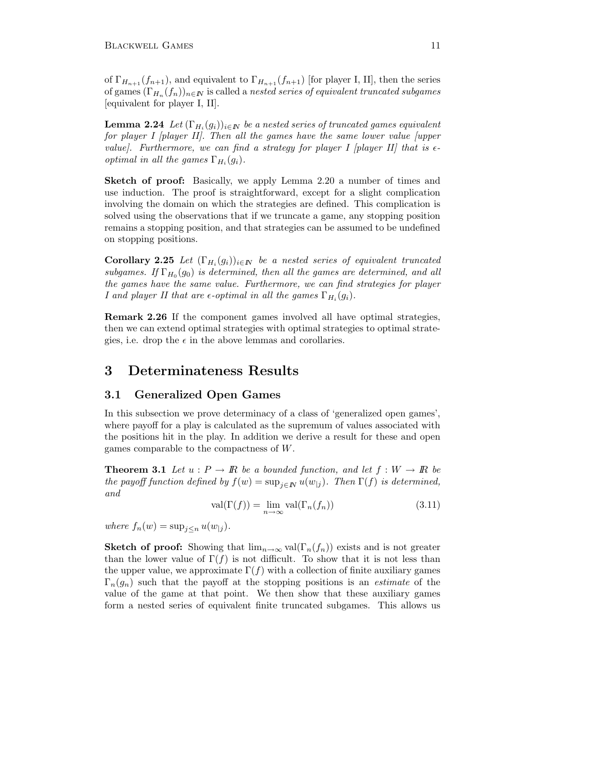of  $\Gamma_{H_{n+1}}(f_{n+1})$ , and equivalent to  $\Gamma_{H_{n+1}}(f_{n+1})$  [for player I, II], then the series  $\dim(\Gamma_{H_n}(f_n))_{n\in I\!\!N}$  is called a *nested series of equivalent truncated subgames* [equivalent for player I, II].

 ${\bf Lemma~2.24}$   $\,$   $Let\, (\Gamma_{H_i}(g_i))_{i\in I\!\!N}$  be a nested series of truncated games equivalent for player I [player II]. Then all the games have the same lower value [upper value]. Furthermore, we can find a strategy for player I [player II] that is  $\epsilon$ *optimal in all the games*  $\Gamma_{H_i}(g_i)$ .

Sketch of proof: Basically, we apply Lemma 2.20 a number of times and use induction. The proof is straightforward, except for a slight complication involving the domain on which the strategies are defined. This complication is solved using the observations that if we truncate a game, any stopping position remains a stopping position, and that strategies can be assumed to be undefined on stopping positions.

**Corollary 2.25** Let  $(\Gamma_{H_i}(g_i))_{i \in \mathbb{N}}$  be a nested series of equivalent truncated subgames. If  $\Gamma_{H_0}(g_0)$  is determined, then all the games are determined, and all the games have the same value. Furthermore, we can find strategies for player I and player II that are  $\epsilon$ -optimal in all the games  $\Gamma_{H_i}(g_i)$ .

Remark 2.26 If the component games involved all have optimal strategies, then we can extend optimal strategies with optimal strategies to optimal strategies, i.e. drop the  $\epsilon$  in the above lemmas and corollaries.

### 3 Determinateness Results

#### 3.1 Generalized Open Games

In this subsection we prove determinacy of a class of 'generalized open games', where payoff for a play is calculated as the supremum of values associated with the positions hit in the play. In addition we derive a result for these and open games comparable to the compactness of W.

**Theorem 3.1** Let  $u : P \to \mathbb{R}$  be a bounded function, and let  $f : W \to \mathbb{R}$  be the payoff function defined by  $f(w) = \sup_{i \in \mathbb{N}} u(w_{i})$ . Then  $\Gamma(f)$  is determined, and

$$
val(\Gamma(f)) = \lim_{n \to \infty} val(\Gamma_n(f_n))
$$
\n(3.11)

where  $f_n(w) = \sup_{j \le n} u(w_{|j}).$ 

**Sketch of proof:** Showing that  $\lim_{n\to\infty}$  val $(\Gamma_n(f_n))$  exists and is not greater than the lower value of  $\Gamma(f)$  is not difficult. To show that it is not less than the upper value, we approximate  $\Gamma(f)$  with a collection of finite auxiliary games  $\Gamma_n(q_n)$  such that the payoff at the stopping positions is an *estimate* of the value of the game at that point. We then show that these auxiliary games form a nested series of equivalent finite truncated subgames. This allows us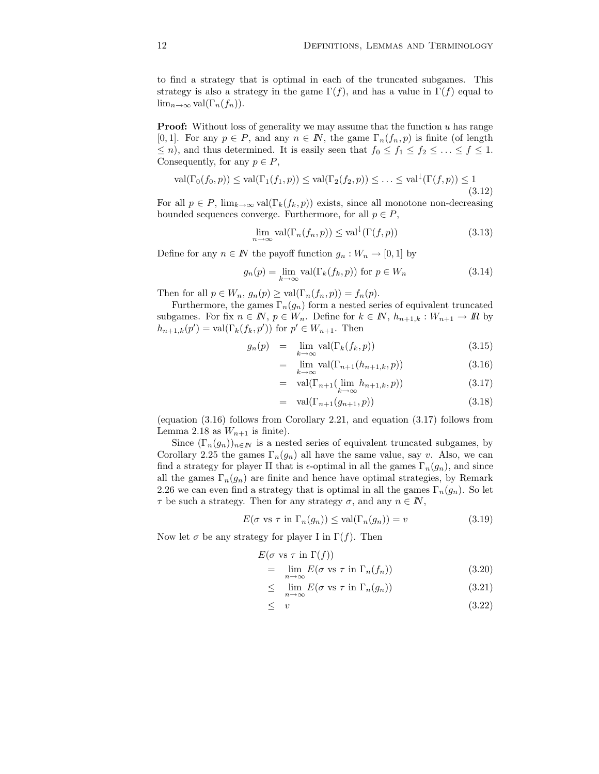to find a strategy that is optimal in each of the truncated subgames. This strategy is also a strategy in the game  $\Gamma(f)$ , and has a value in  $\Gamma(f)$  equal to  $\lim_{n\to\infty}$  val $(\Gamma_n(f_n)).$ 

**Proof:** Without loss of generality we may assume that the function  $u$  has range [0,1]. For any  $p \in P$ , and any  $n \in \mathbb{N}$ , the game  $\Gamma_n(f_n, p)$  is finite (of length  $\leq n$ , and thus determined. It is easily seen that  $f_0 \leq f_1 \leq f_2 \leq \ldots \leq f \leq 1$ . Consequently, for any  $p \in P$ ,

$$
\operatorname{val}(\Gamma_0(f_0, p)) \le \operatorname{val}(\Gamma_1(f_1, p)) \le \operatorname{val}(\Gamma_2(f_2, p)) \le \ldots \le \operatorname{val}^{\downarrow}(\Gamma(f, p)) \le 1
$$
\n(3.12)

For all  $p \in P$ ,  $\lim_{k\to\infty} \text{val}(\Gamma_k(f_k, p))$  exists, since all monotone non-decreasing bounded sequences converge. Furthermore, for all  $p \in P$ ,

$$
\lim_{n \to \infty} \text{val}(\Gamma_n(f_n, p)) \le \text{val}^{\downarrow}(\Gamma(f, p)) \tag{3.13}
$$

Define for any  $n \in \mathbb{N}$  the payoff function  $g_n : W_n \to [0, 1]$  by

$$
g_n(p) = \lim_{k \to \infty} \text{val}(\Gamma_k(f_k, p)) \text{ for } p \in W_n \tag{3.14}
$$

Then for all  $p \in W_n$ ,  $g_n(p) \geq \text{val}(\Gamma_n(f_n, p)) = f_n(p)$ .

Furthermore, the games  $\Gamma_n(g_n)$  form a nested series of equivalent truncated subgames. For fix  $n \in \mathbb{N}$ ,  $p \in W_n$ . Define for  $k \in \mathbb{N}$ ,  $h_{n+1,k}: W_{n+1} \to \mathbb{R}$  by  $h_{n+1,k}(p') = \text{val}(\Gamma_k(f_k, p'))$  for  $p' \in W_{n+1}$ . Then

$$
g_n(p) = \lim_{k \to \infty} \text{val}(\Gamma_k(f_k, p)) \tag{3.15}
$$

$$
= \lim_{k \to \infty} \text{val}(\Gamma_{n+1}(h_{n+1,k}, p)) \tag{3.16}
$$

$$
= \operatorname{val}(\Gamma_{n+1}(\lim_{k \to \infty} h_{n+1,k}, p)) \tag{3.17}
$$

$$
= \text{val}(\Gamma_{n+1}(g_{n+1}, p)) \tag{3.18}
$$

(equation (3.16) follows from Corollary 2.21, and equation (3.17) follows from Lemma 2.18 as  $W_{n+1}$  is finite).

Since  $(\Gamma_n(g_n))_{n\in\mathbb{N}}$  is a nested series of equivalent truncated subgames, by Corollary 2.25 the games  $\Gamma_n(g_n)$  all have the same value, say v. Also, we can find a strategy for player II that is  $\epsilon$ -optimal in all the games  $\Gamma_n(g_n)$ , and since all the games  $\Gamma_n(g_n)$  are finite and hence have optimal strategies, by Remark 2.26 we can even find a strategy that is optimal in all the games  $\Gamma_n(q_n)$ . So let  $\tau$  be such a strategy. Then for any strategy  $\sigma$ , and any  $n \in \mathbb{N}$ ,

$$
E(\sigma \text{ vs } \tau \text{ in } \Gamma_n(g_n)) \le \text{val}(\Gamma_n(g_n)) = v \tag{3.19}
$$

Now let  $\sigma$  be any strategy for player I in  $\Gamma(f)$ . Then

$$
E(\sigma \text{ vs } \tau \text{ in } \Gamma(f))
$$
  
= 
$$
\lim_{n \to \infty} E(\sigma \text{ vs } \tau \text{ in } \Gamma_n(f_n))
$$
 (3.20)

$$
n \to \infty
$$
\n
$$
\left(\frac{n}{2}\right)^n \left(\frac{n}{2}\right)^n \left(\frac{n}{2}\right)^n
$$
\n
$$
\left(\frac{n}{2}\right)^n \left(\frac{n}{2}\right)^n \left(\frac{n}{2}\right)^n \left(\frac{n}{2}\right)^n
$$
\n
$$
\left(\frac{n}{2}\right)^n \left(\frac{n}{2}\right)^n \left(\frac{n}{2}\right)^n
$$

$$
\leq \lim_{n \to \infty} E(\sigma \text{ vs } \tau \text{ in } \Gamma_n(g_n)) \tag{3.21}
$$

$$
\leq v \tag{3.22}
$$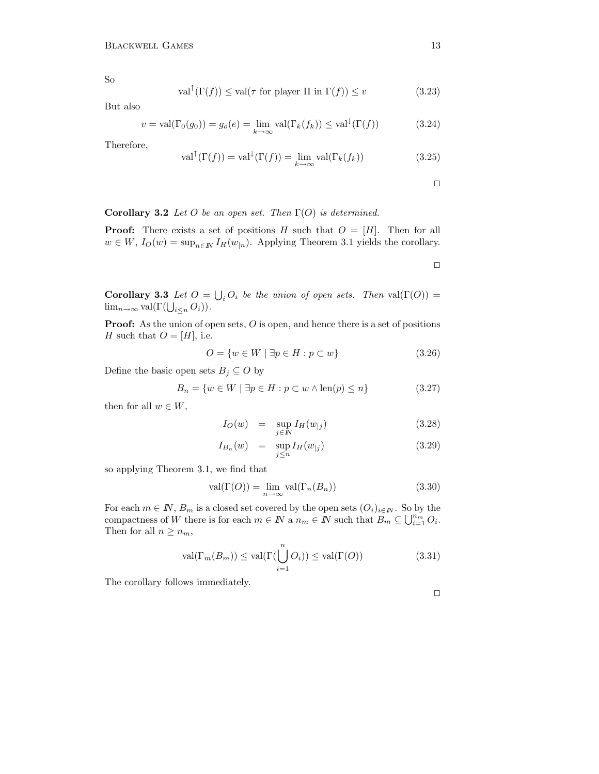So

$$
\operatorname{val}^{\uparrow}(\Gamma(f)) \le \operatorname{val}(\tau \text{ for player II in } \Gamma(f)) \le v \tag{3.23}
$$

But also

$$
v = \text{val}(\Gamma_0(g_0)) = g_o(e) = \lim_{k \to \infty} \text{val}(\Gamma_k(f_k)) \le \text{val}^{\downarrow}(\Gamma(f)) \tag{3.24}
$$

Therefore,

$$
\operatorname{val}^{\uparrow}(\Gamma(f)) = \operatorname{val}^{\downarrow}(\Gamma(f)) = \lim_{k \to \infty} \operatorname{val}(\Gamma_k(f_k)) \tag{3.25}
$$

 $\Box$ 

Corollary 3.2 Let O be an open set. Then  $\Gamma(O)$  is determined.

**Proof:** There exists a set of positions H such that  $O = [H]$ . Then for all  $w \in W$ ,  $I_O(w) = \sup_{n \in \mathbb{N}} I_H(w_{n})$ . Applying Theorem 3.1 yields the corollary.

 $\Box$ 

**Corollary 3.3** Let  $O = \bigcup_i O_i$  be the union of open sets. Then val $(\Gamma(O))$  =  $\lim_{n\to\infty}$  val $(\Gamma(\bigcup_{i\leq n} O_i)).$ 

Proof: As the union of open sets, O is open, and hence there is a set of positions H such that  $O = [H]$ , i.e.

$$
O = \{ w \in W \mid \exists p \in H : p \subset w \} \tag{3.26}
$$

Define the basic open sets  $B_j \subseteq O$  by

$$
B_n = \{ w \in W \mid \exists p \in H : p \subset w \land len(p) \le n \}
$$
\n
$$
(3.27)
$$

then for all  $w \in W$ ,

$$
I_O(w) = \sup_{j \in I\!\!N} I_H(w_{|j}) \tag{3.28}
$$

$$
I_{B_n}(w) = \sup_{j \le n} I_H(w_{|j}) \tag{3.29}
$$

so applying Theorem 3.1, we find that

$$
val(\Gamma(O)) = \lim_{n \to \infty} val(\Gamma_n(B_n))
$$
\n(3.30)

For each  $m \in \mathbb{N}$ ,  $B_m$  is a closed set covered by the open sets  $(O_i)_{i \in \mathbb{N}}$ . So by the compactness of W there is for each  $m \in \mathbb{N}$  a  $n_m \in \mathbb{N}$  such that  $B_m \subseteq \bigcup_{i=1}^{n_m} O_i$ . Then for all  $n \geq n_m$ ,

$$
\operatorname{val}(\Gamma_m(B_m)) \le \operatorname{val}(\Gamma(\bigcup_{i=1}^n O_i)) \le \operatorname{val}(\Gamma(O)) \tag{3.31}
$$

The corollary follows immediately.

 $\Box$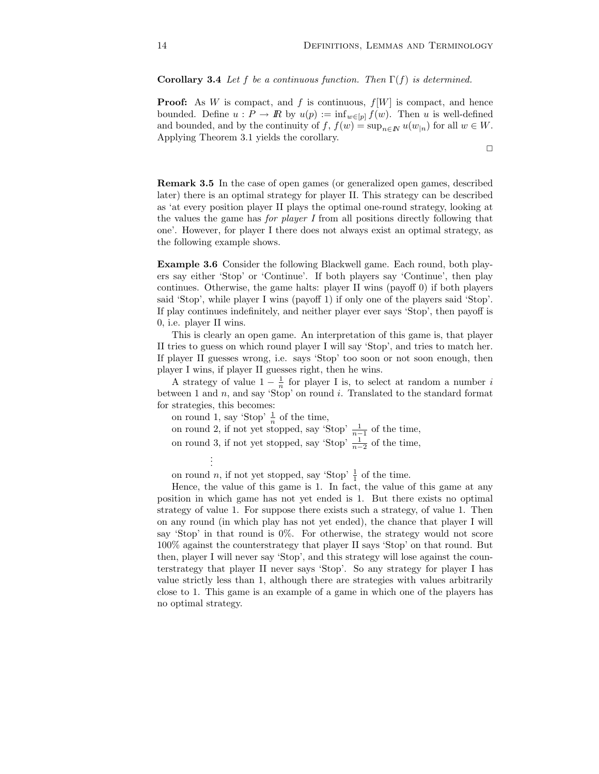**Corollary 3.4** Let f be a continuous function. Then  $\Gamma(f)$  is determined.

**Proof:** As W is compact, and f is continuous,  $f[W]$  is compact, and hence bounded. Define  $u : P \to \mathbb{R}$  by  $u(p) := \inf_{w \in [p]} f(w)$ . Then u is well-defined and bounded, and by the continuity of f,  $f(w) = \sup_{n \in \mathbb{N}} u(w_{n})$  for all  $w \in W$ . Applying Theorem 3.1 yields the corollary.

 $\Box$ 

Remark 3.5 In the case of open games (or generalized open games, described later) there is an optimal strategy for player II. This strategy can be described as 'at every position player II plays the optimal one-round strategy, looking at the values the game has for player I from all positions directly following that one'. However, for player I there does not always exist an optimal strategy, as the following example shows.

Example 3.6 Consider the following Blackwell game. Each round, both players say either 'Stop' or 'Continue'. If both players say 'Continue', then play continues. Otherwise, the game halts: player II wins (payoff 0) if both players said 'Stop', while player I wins (payoff 1) if only one of the players said 'Stop'. If play continues indefinitely, and neither player ever says 'Stop', then payoff is 0, i.e. player II wins.

This is clearly an open game. An interpretation of this game is, that player II tries to guess on which round player I will say 'Stop', and tries to match her. If player II guesses wrong, i.e. says 'Stop' too soon or not soon enough, then player I wins, if player II guesses right, then he wins.

A strategy of value  $1 - \frac{1}{n}$  for player I is, to select at random a number i between 1 and  $n$ , and say 'Stop' on round i. Translated to the standard format for strategies, this becomes:

on round 1, say 'Stop'  $\frac{1}{n}$  of the time,

. . .

on round 2, if not yet stopped, say 'Stop'  $\frac{1}{n-1}$  of the time, on round 3, if not yet stopped, say 'Stop'  $\frac{1}{n-2}$  of the time,

on round *n*, if not yet stopped, say 'Stop'  $\frac{1}{1}$  of the time.

Hence, the value of this game is 1. In fact, the value of this game at any position in which game has not yet ended is 1. But there exists no optimal strategy of value 1. For suppose there exists such a strategy, of value 1. Then on any round (in which play has not yet ended), the chance that player I will say 'Stop' in that round is 0%. For otherwise, the strategy would not score 100% against the counterstrategy that player II says 'Stop' on that round. But then, player I will never say 'Stop', and this strategy will lose against the counterstrategy that player II never says 'Stop'. So any strategy for player I has value strictly less than 1, although there are strategies with values arbitrarily close to 1. This game is an example of a game in which one of the players has no optimal strategy.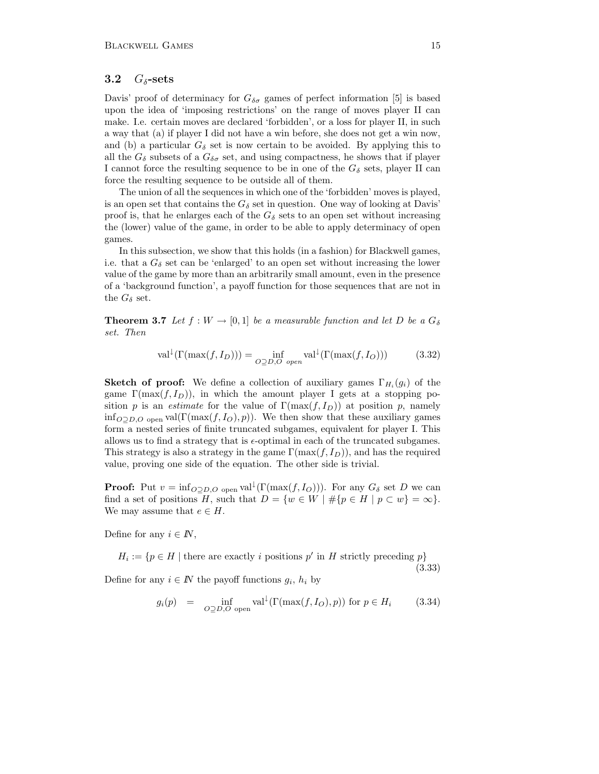#### 3.2  $G_{\delta}$ -sets

Davis' proof of determinacy for  $G_{\delta\sigma}$  games of perfect information [5] is based upon the idea of 'imposing restrictions' on the range of moves player II can make. I.e. certain moves are declared 'forbidden', or a loss for player II, in such a way that (a) if player I did not have a win before, she does not get a win now, and (b) a particular  $G_{\delta}$  set is now certain to be avoided. By applying this to all the  $G_{\delta}$  subsets of a  $G_{\delta\sigma}$  set, and using compactness, he shows that if player I cannot force the resulting sequence to be in one of the  $G_{\delta}$  sets, player II can force the resulting sequence to be outside all of them.

The union of all the sequences in which one of the 'forbidden' moves is played, is an open set that contains the  $G_{\delta}$  set in question. One way of looking at Davis' proof is, that he enlarges each of the  $G_{\delta}$  sets to an open set without increasing the (lower) value of the game, in order to be able to apply determinacy of open games.

In this subsection, we show that this holds (in a fashion) for Blackwell games, i.e. that a  $G_{\delta}$  set can be 'enlarged' to an open set without increasing the lower value of the game by more than an arbitrarily small amount, even in the presence of a 'background function', a payoff function for those sequences that are not in the  $G_{\delta}$  set.

**Theorem 3.7** Let  $f : W \to [0,1]$  be a measurable function and let D be a  $G_{\delta}$ set. Then

$$
\text{val}^{\downarrow}(\Gamma(\max(f, I_D))) = \inf_{O \supseteq D, O \text{ open}} \text{val}^{\downarrow}(\Gamma(\max(f, I_O))) \tag{3.32}
$$

**Sketch of proof:** We define a collection of auxiliary games  $\Gamma_{H_i}(g_i)$  of the game  $\Gamma(\max(f, I_D))$ , in which the amount player I gets at a stopping position p is an estimate for the value of  $\Gamma(\max(f, I_D))$  at position p, namely  $\inf_{O\supseteq D, O\text{ open}} \text{val}(\Gamma(\max(f, I_O), p)).$  We then show that these auxiliary games form a nested series of finite truncated subgames, equivalent for player I. This allows us to find a strategy that is  $\epsilon$ -optimal in each of the truncated subgames. This strategy is also a strategy in the game  $\Gamma(\max(f, I_D))$ , and has the required value, proving one side of the equation. The other side is trivial.

**Proof:** Put  $v = \inf_{O \supseteq D, O}$  open  $val^{\downarrow}(\Gamma(\max(f, I_O)))$ . For any  $G_{\delta}$  set D we can find a set of positions H, such that  $D = \{w \in W \mid \#\{p \in H \mid p \subset w\} = \infty\}.$ We may assume that  $e \in H$ .

Define for any  $i \in \mathbb{N}$ ,

 $H_i := \{ p \in H \mid \text{there are exactly } i \text{ positions } p' \text{ in } H \text{ strictly preceding } p \}$ (3.33) Define for any  $i \in \mathbb{N}$  the payoff functions  $g_i$ ,  $h_i$  by

$$
g_i(p) = \inf_{O \supseteq D, O \text{ open}} \text{val}^1(\Gamma(\max(f, I_O), p)) \text{ for } p \in H_i \qquad (3.34)
$$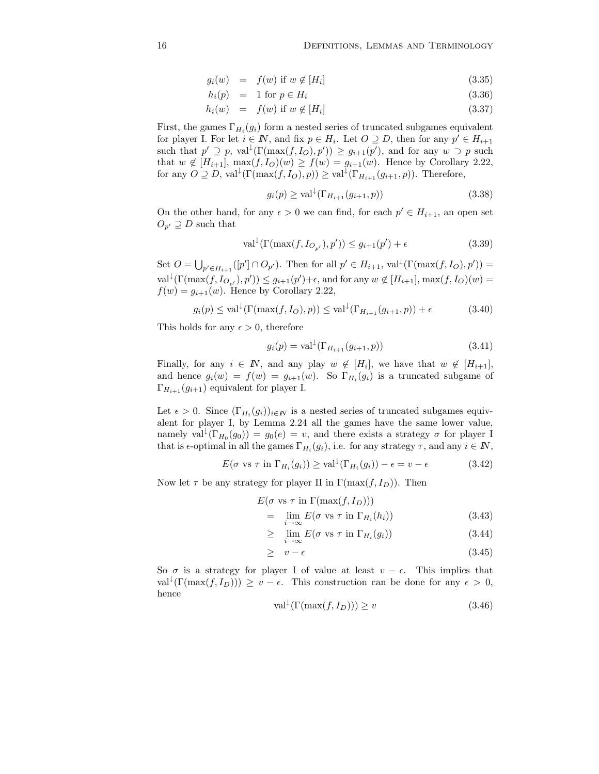$$
g_i(w) = f(w) \text{ if } w \notin [H_i] \tag{3.35}
$$

$$
h_i(p) = 1 \text{ for } p \in H_i \tag{3.36}
$$

$$
h_i(w) = f(w) \text{ if } w \notin [H_i] \tag{3.37}
$$

First, the games  $\Gamma_{H_i}(g_i)$  form a nested series of truncated subgames equivalent for player I. For let  $i \in \mathbb{N}$ , and fix  $p \in H_i$ . Let  $O \supseteq O$ , then for any  $p' \in H_{i+1}$ such that  $p' \supseteq p$ ,  $\text{val}^{\downarrow}(\Gamma(\max(f, I_O), p')) \geq g_{i+1}(p')$ , and for any  $w \supseteq p$  such that  $w \notin [H_{i+1}]$ ,  $\max(f, I_O)(w) \ge f(w) = g_{i+1}(w)$ . Hence by Corollary 2.22, for any  $O \supseteq D$ ,  $val^{\downarrow}(\Gamma(\max(f, I_O), p)) \geq val^{\downarrow}(\Gamma_{H_{i+1}}(g_{i+1}, p)).$  Therefore,

$$
g_i(p) \ge \text{val}^{\downarrow}(\Gamma_{H_{i+1}}(g_{i+1}, p)) \tag{3.38}
$$

On the other hand, for any  $\epsilon > 0$  we can find, for each  $p' \in H_{i+1}$ , an open set  $O_{p'} \supseteq D$  such that

$$
\text{val}^{\downarrow}(\Gamma(\max(f, I_{O_{p'}}), p')) \le g_{i+1}(p') + \epsilon \tag{3.39}
$$

Set  $O = \bigcup_{p' \in H_{i+1}} ([p'] \cap O_{p'})$ . Then for all  $p' \in H_{i+1}$ ,  $val^{\downarrow}(\Gamma(\max(f, I_O), p')) =$  $\mathrm{val}^{\downarrow}(\Gamma(\max(f, I_{O_{p'}}), p')) \leq g_{i+1}(p') + \epsilon$ , and for any  $w \notin [H_{i+1}]$ ,  $\max(f, I_O)(w) =$  $f(w) = g_{i+1}(w)$ . Hence by Corollary 2.22,

$$
g_i(p) \le \text{val}^{\downarrow}(\Gamma(\max(f, I_O), p)) \le \text{val}^{\downarrow}(\Gamma_{H_{i+1}}(g_{i+1}, p)) + \epsilon \tag{3.40}
$$

This holds for any  $\epsilon > 0$ , therefore

$$
g_i(p) = \text{val}^{\downarrow}(\Gamma_{H_{i+1}}(g_{i+1}, p))
$$
\n(3.41)

Finally, for any  $i \in \mathbb{N}$ , and any play  $w \notin [H_i]$ , we have that  $w \notin [H_{i+1}]$ , and hence  $g_i(w) = f(w) = g_{i+1}(w)$ . So  $\Gamma_{H_i}(g_i)$  is a truncated subgame of  $\Gamma_{H_{i+1}}(g_{i+1})$  equivalent for player I.

Let  $\epsilon > 0$ . Since  $(\Gamma_{H_i}(g_i))_{i \in \mathbb{N}}$  is a nested series of truncated subgames equivalent for player I, by Lemma 2.24 all the games have the same lower value, namely  $\text{val}^{\downarrow}(\Gamma_{H_0}(g_0)) = g_0(e) = v$ , and there exists a strategy  $\sigma$  for player I that is  $\epsilon$ -optimal in all the games  $\Gamma_{H_i}(g_i)$ , i.e. for any strategy  $\tau$ , and any  $i \in I\!\!N$ ,

$$
E(\sigma \text{ vs } \tau \text{ in } \Gamma_{H_i}(g_i)) \ge \text{val}^{\downarrow}(\Gamma_{H_i}(g_i)) - \epsilon = v - \epsilon \tag{3.42}
$$

Now let  $\tau$  be any strategy for player II in  $\Gamma(\max(f, I_D))$ . Then

$$
E(\sigma \text{ vs } \tau \text{ in } \Gamma(\max(f, I_D)))
$$
  
= 
$$
\lim_{i \to \infty} E(\sigma \text{ vs } \tau \text{ in } \Gamma_{H_i}(h_i))
$$
 (3.43)

$$
\geq \lim_{i \to \infty} E(\sigma \text{ vs } \tau \text{ in } \Gamma_{H_i}(g_i)) \tag{3.44}
$$

$$
\geq v - \epsilon \tag{3.45}
$$

So  $\sigma$  is a strategy for player I of value at least  $v - \epsilon$ . This implies that  $\text{val}^{\downarrow}(\Gamma(\max(f, I_D))) \geq v - \epsilon$ . This construction can be done for any  $\epsilon > 0$ , hence

$$
\operatorname{val}^{\downarrow}(\Gamma(\max(f, I_D))) \ge v \tag{3.46}
$$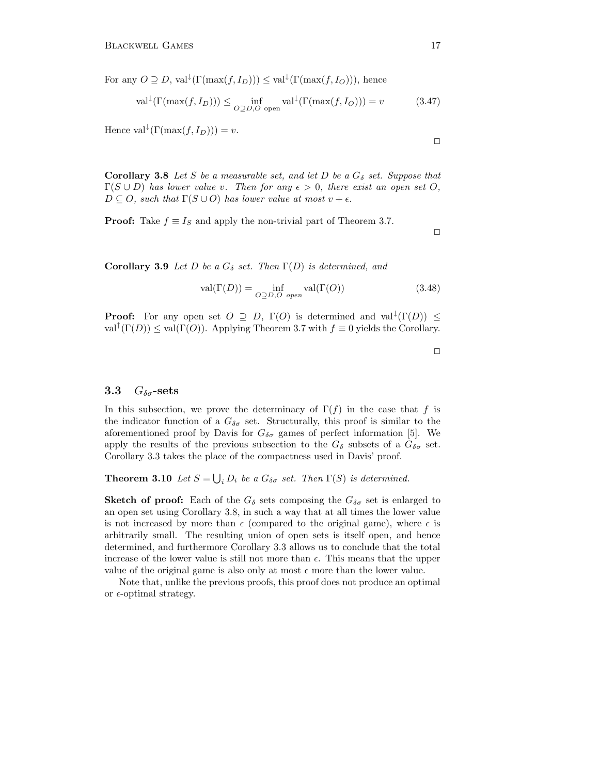For any  $O \supseteq D$ ,  $val^{\downarrow}(\Gamma(\max(f, I_D))) \leq val^{\downarrow}(\Gamma(\max(f, I_O))),$  hence

$$
\text{val}^{\downarrow}(\Gamma(\max(f, I_D))) \le \inf_{O \supseteq D, O \text{ open}} \text{val}^{\downarrow}(\Gamma(\max(f, I_O))) = v \tag{3.47}
$$

Hence  $val^{\downarrow}(\Gamma(\max(f,I_D)))=v.$ 

**Corollary 3.8** Let S be a measurable set, and let D be a  $G_{\delta}$  set. Suppose that  $\Gamma(S \cup D)$  has lower value v. Then for any  $\epsilon > 0$ , there exist an open set O,  $D \subseteq O$ , such that  $\Gamma(S \cup O)$  has lower value at most  $v + \epsilon$ .

**Proof:** Take  $f \equiv I_S$  and apply the non-trivial part of Theorem 3.7.

 $\Box$ 

**Corollary 3.9** Let D be a  $G_{\delta}$  set. Then  $\Gamma(D)$  is determined, and

$$
\text{val}(\Gamma(D)) = \inf_{O \supseteq D, O \text{ open}} \text{val}(\Gamma(O)) \tag{3.48}
$$

**Proof:** For any open set  $O \supseteq D$ ,  $\Gamma(O)$  is determined and val<sup>1</sup>( $\Gamma(D)$ )  $\leq$ val<sup>↑</sup> $(\Gamma(D)) \leq$  val $(\Gamma(O))$ . Applying Theorem 3.7 with  $f \equiv 0$  yields the Corollary.

 $\Box$ 

#### 3.3  $G_{\delta\sigma}$ -sets

In this subsection, we prove the determinacy of  $\Gamma(f)$  in the case that f is the indicator function of a  $G_{\delta\sigma}$  set. Structurally, this proof is similar to the aforementioned proof by Davis for  $G_{\delta\sigma}$  games of perfect information [5]. We apply the results of the previous subsection to the  $G_{\delta}$  subsets of a  $G_{\delta\sigma}$  set. Corollary 3.3 takes the place of the compactness used in Davis' proof.

**Theorem 3.10** Let  $S = \bigcup_i D_i$  be a  $G_{\delta\sigma}$  set. Then  $\Gamma(S)$  is determined.

**Sketch of proof:** Each of the  $G_{\delta}$  sets composing the  $G_{\delta\sigma}$  set is enlarged to an open set using Corollary 3.8, in such a way that at all times the lower value is not increased by more than  $\epsilon$  (compared to the original game), where  $\epsilon$  is arbitrarily small. The resulting union of open sets is itself open, and hence determined, and furthermore Corollary 3.3 allows us to conclude that the total increase of the lower value is still not more than  $\epsilon$ . This means that the upper value of the original game is also only at most  $\epsilon$  more than the lower value.

Note that, unlike the previous proofs, this proof does not produce an optimal or  $\epsilon$ -optimal strategy.

 $\Box$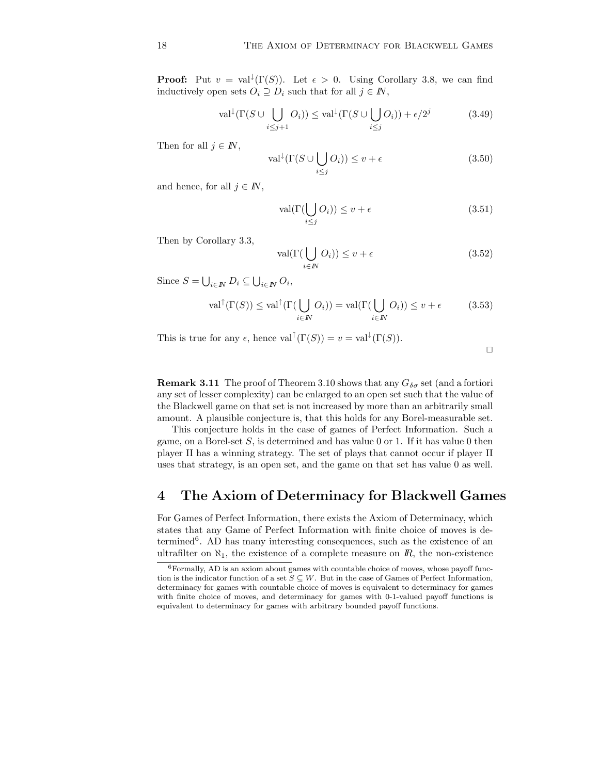**Proof:** Put  $v = \text{val}^{\downarrow}(\Gamma(S))$ . Let  $\epsilon > 0$ . Using Corollary 3.8, we can find inductively open sets  $O_i \supseteq D_i$  such that for all  $j \in I\!N$ ,

$$
\operatorname{val}^{\downarrow}(\Gamma(S \cup \bigcup_{i \le j+1} O_i)) \le \operatorname{val}^{\downarrow}(\Gamma(S \cup \bigcup_{i \le j} O_i)) + \epsilon/2^j \tag{3.49}
$$

Then for all  $j \in I\!N$ ,

$$
\operatorname{val}^{\downarrow}(\Gamma(S \cup \bigcup_{i \le j} O_i)) \le v + \epsilon \tag{3.50}
$$

and hence, for all  $j \in I\!N$ ,

$$
\operatorname{val}(\Gamma(\bigcup_{i \le j} O_i)) \le v + \epsilon \tag{3.51}
$$

Then by Corollary 3.3,

$$
\operatorname{val}(\Gamma(\bigcup_{i \in I\!\!N} O_i)) \le v + \epsilon \tag{3.52}
$$

Since  $S = \bigcup_{i \in \mathbb{N}} D_i \subseteq \bigcup_{i \in \mathbb{N}} O_i$ ,

$$
\operatorname{val}^{\uparrow}(\Gamma(S)) \le \operatorname{val}^{\uparrow}(\Gamma(\bigcup_{i \in \mathbb{N}} O_i)) = \operatorname{val}(\Gamma(\bigcup_{i \in \mathbb{N}} O_i)) \le v + \epsilon \tag{3.53}
$$

This is true for any  $\epsilon$ , hence  $\text{val}^{\uparrow}(\Gamma(S)) = v = \text{val}^{\downarrow}(\Gamma(S)).$ 

 $\Box$ 

**Remark 3.11** The proof of Theorem 3.10 shows that any  $G_{\delta\sigma}$  set (and a fortiori any set of lesser complexity) can be enlarged to an open set such that the value of the Blackwell game on that set is not increased by more than an arbitrarily small amount. A plausible conjecture is, that this holds for any Borel-measurable set.

This conjecture holds in the case of games of Perfect Information. Such a game, on a Borel-set  $S$ , is determined and has value 0 or 1. If it has value 0 then player II has a winning strategy. The set of plays that cannot occur if player II uses that strategy, is an open set, and the game on that set has value 0 as well.

### 4 The Axiom of Determinacy for Blackwell Games

For Games of Perfect Information, there exists the Axiom of Determinacy, which states that any Game of Perfect Information with finite choice of moves is determined<sup>6</sup>. AD has many interesting consequences, such as the existence of an ultrafilter on  $\aleph_1$ , the existence of a complete measure on  $\mathbb{R}$ , the non-existence

 $6$ Formally, AD is an axiom about games with countable choice of moves, whose payoff function is the indicator function of a set  $S \subseteq W$ . But in the case of Games of Perfect Information, determinacy for games with countable choice of moves is equivalent to determinacy for games with finite choice of moves, and determinacy for games with 0-1-valued payoff functions is equivalent to determinacy for games with arbitrary bounded payoff functions.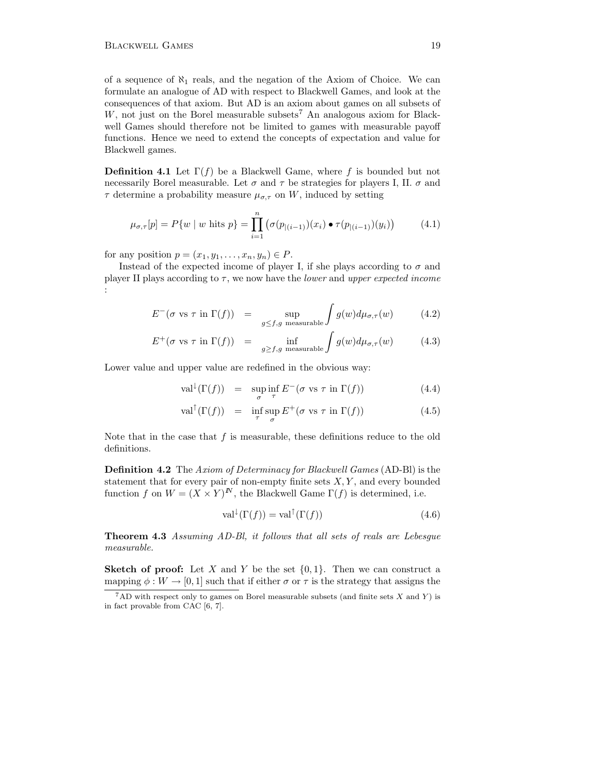of a sequence of  $\aleph_1$  reals, and the negation of the Axiom of Choice. We can formulate an analogue of AD with respect to Blackwell Games, and look at the consequences of that axiom. But AD is an axiom about games on all subsets of W, not just on the Borel measurable subsets<sup>7</sup> An analogous axiom for Blackwell Games should therefore not be limited to games with measurable payoff functions. Hence we need to extend the concepts of expectation and value for Blackwell games.

**Definition 4.1** Let  $\Gamma(f)$  be a Blackwell Game, where f is bounded but not necessarily Borel measurable. Let  $\sigma$  and  $\tau$  be strategies for players I, II.  $\sigma$  and  $\tau$  determine a probability measure  $\mu_{\sigma,\tau}$  on W, induced by setting

$$
\mu_{\sigma,\tau}[p] = P\{w \mid w \text{ hits } p\} = \prod_{i=1}^{n} \left( \sigma(p_{|(i-1)})(x_i) \bullet \tau(p_{|(i-1)})(y_i) \right) \tag{4.1}
$$

for any position  $p = (x_1, y_1, \ldots, x_n, y_n) \in P$ .

Instead of the expected income of player I, if she plays according to  $\sigma$  and player II plays according to  $\tau$ , we now have the *lower* and *upper expected income* :

$$
E^-(\sigma \text{ vs } \tau \text{ in } \Gamma(f)) = \sup_{g \le f, g \text{ measurable}} \int g(w) d\mu_{\sigma,\tau}(w) \qquad (4.2)
$$

$$
E^{+}(\sigma \text{ vs } \tau \text{ in } \Gamma(f)) = \inf_{g \ge f, g \text{ measurable}} \int g(w) d\mu_{\sigma,\tau}(w) \qquad (4.3)
$$

Lower value and upper value are redefined in the obvious way:

$$
\text{val}^{\downarrow}(\Gamma(f)) = \sup_{\sigma} \inf_{\tau} E^-(\sigma \text{ vs } \tau \text{ in } \Gamma(f)) \tag{4.4}
$$

$$
\operatorname{val}^{\uparrow}(\Gamma(f)) = \inf_{\tau} \sup_{\sigma} E^{+}(\sigma \text{ vs } \tau \text{ in } \Gamma(f)) \tag{4.5}
$$

Note that in the case that  $f$  is measurable, these definitions reduce to the old definitions.

Definition 4.2 The Axiom of Determinacy for Blackwell Games (AD-Bl) is the statement that for every pair of non-empty finite sets  $X, Y$ , and every bounded function f on  $W = (X \times Y)^N$ , the Blackwell Game  $\Gamma(f)$  is determined, i.e.

$$
\operatorname{val}^{\downarrow}(\Gamma(f)) = \operatorname{val}^{\uparrow}(\Gamma(f)) \tag{4.6}
$$

Theorem 4.3 Assuming AD-Bl, it follows that all sets of reals are Lebesgue measurable.

**Sketch of proof:** Let X and Y be the set  $\{0,1\}$ . Then we can construct a mapping  $\phi: W \to [0, 1]$  such that if either  $\sigma$  or  $\tau$  is the strategy that assigns the

 $7AD$  with respect only to games on Borel measurable subsets (and finite sets  $X$  and  $Y$ ) is in fact provable from CAC [6, 7].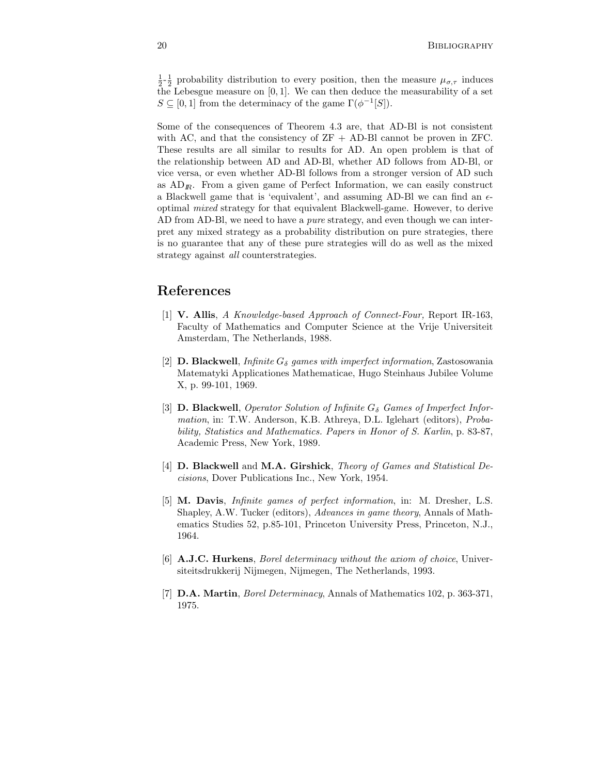$\frac{1}{2}$ - $\frac{1}{2}$  probability distribution to every position, then the measure  $\mu_{\sigma,\tau}$  induces the Lebesgue measure on [0, 1]. We can then deduce the measurability of a set  $S \subseteq [0,1]$  from the determinacy of the game  $\Gamma(\phi^{-1}[S])$ .

Some of the consequences of Theorem 4.3 are, that AD-Bl is not consistent with AC, and that the consistency of  $ZF + AD-Bl$  cannot be proven in ZFC. These results are all similar to results for AD. An open problem is that of the relationship between AD and AD-Bl, whether AD follows from AD-Bl, or vice versa, or even whether AD-Bl follows from a stronger version of AD such as  $AD_{\mathbb{R}}$ . From a given game of Perfect Information, we can easily construct a Blackwell game that is 'equivalent', and assuming AD-Bl we can find an  $\epsilon$ optimal mixed strategy for that equivalent Blackwell-game. However, to derive AD from AD-Bl, we need to have a *pure* strategy, and even though we can interpret any mixed strategy as a probability distribution on pure strategies, there is no guarantee that any of these pure strategies will do as well as the mixed strategy against all counterstrategies.

## References

- [1] V. Allis, A Knowledge-based Approach of Connect-Four, Report IR-163, Faculty of Mathematics and Computer Science at the Vrije Universiteit Amsterdam, The Netherlands, 1988.
- [2] **D. Blackwell**, *Infinite*  $G_{\delta}$  games with imperfect information, Zastosowania Matematyki Applicationes Mathematicae, Hugo Steinhaus Jubilee Volume X, p. 99-101, 1969.
- [3] D. Blackwell, Operator Solution of Infinite  $G_{\delta}$  Games of Imperfect Information, in: T.W. Anderson, K.B. Athreya, D.L. Iglehart (editors), Probability, Statistics and Mathematics. Papers in Honor of S. Karlin, p. 83-87, Academic Press, New York, 1989.
- [4] **D. Blackwell** and M.A. Girshick, *Theory of Games and Statistical De*cisions, Dover Publications Inc., New York, 1954.
- [5] M. Davis, Infinite games of perfect information, in: M. Dresher, L.S. Shapley, A.W. Tucker (editors), Advances in game theory, Annals of Mathematics Studies 52, p.85-101, Princeton University Press, Princeton, N.J., 1964.
- [6] A.J.C. Hurkens, Borel determinacy without the axiom of choice, Universiteitsdrukkerij Nijmegen, Nijmegen, The Netherlands, 1993.
- [7] D.A. Martin, Borel Determinacy, Annals of Mathematics 102, p. 363-371, 1975.